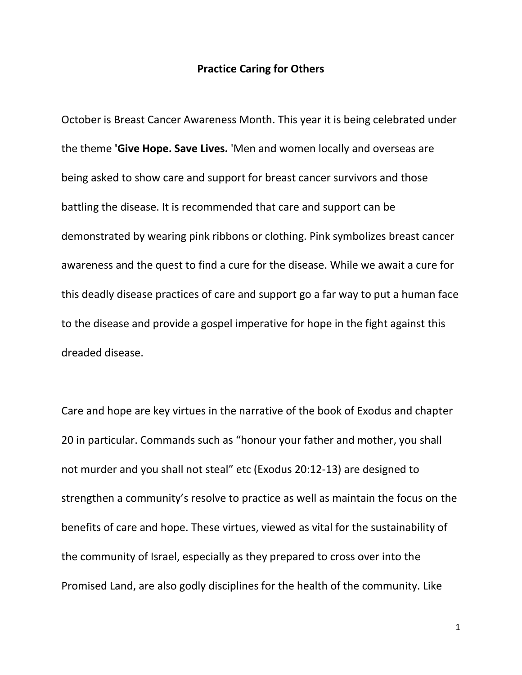## **Practice Caring for Others**

October is Breast Cancer Awareness Month. This year it is being celebrated under the theme **'Give Hope. Save Lives.** 'Men and women locally and overseas are being asked to show care and support for breast cancer survivors and those battling the disease. It is recommended that care and support can be demonstrated by wearing pink ribbons or clothing. Pink symbolizes breast cancer awareness and the quest to find a cure for the disease. While we await a cure for this deadly disease practices of care and support go a far way to put a human face to the disease and provide a gospel imperative for hope in the fight against this dreaded disease.

Care and hope are key virtues in the narrative of the book of Exodus and chapter 20 in particular. Commands such as "honour your father and mother, you shall not murder and you shall not steal" etc (Exodus 20:12-13) are designed to strengthen a community's resolve to practice as well as maintain the focus on the benefits of care and hope. These virtues, viewed as vital for the sustainability of the community of Israel, especially as they prepared to cross over into the Promised Land, are also godly disciplines for the health of the community. Like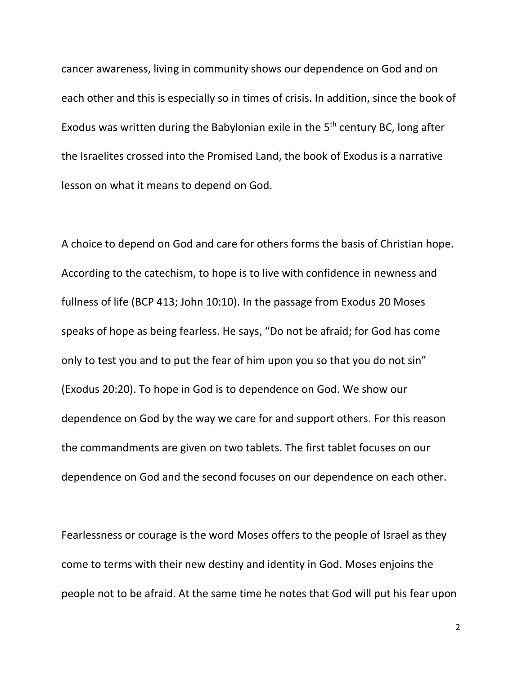cancer awareness, living in community shows our dependence on God and on each other and this is especially so in times of crisis. In addition, since the book of Exodus was written during the Babylonian exile in the  $5<sup>th</sup>$  century BC, long after the Israelites crossed into the Promised Land, the book of Exodus is a narrative lesson on what it means to depend on God.

A choice to depend on God and care for others forms the basis of Christian hope. According to the catechism, to hope is to live with confidence in newness and fullness of life (BCP 413; John 10:10). In the passage from Exodus 20 Moses speaks of hope as being fearless. He says, "Do not be afraid; for God has come only to test you and to put the fear of him upon you so that you do not sin" (Exodus 20:20). To hope in God is to dependence on God. We show our dependence on God by the way we care for and support others. For this reason the commandments are given on two tablets. The first tablet focuses on our dependence on God and the second focuses on our dependence on each other.

Fearlessness or courage is the word Moses offers to the people of Israel as they come to terms with their new destiny and identity in God. Moses enjoins the people not to be afraid. At the same time he notes that God will put his fear upon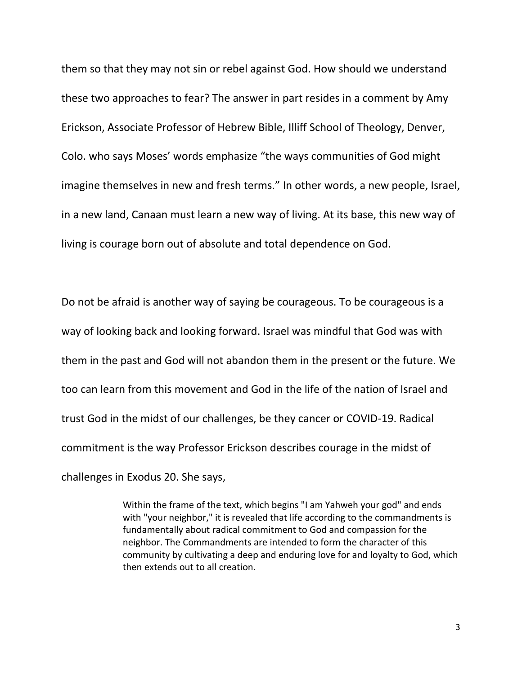them so that they may not sin or rebel against God. How should we understand these two approaches to fear? The answer in part resides in a comment by [Amy](http://www.workingpreacher.org/profile/default.aspx?uid=2-amy_erickson)  [Erickson,](http://www.workingpreacher.org/profile/default.aspx?uid=2-amy_erickson) Associate Professor of Hebrew Bible, Illiff School of Theology, Denver, Colo. who says Moses' words emphasize "the ways communities of God might imagine themselves in new and fresh terms." In other words, a new people, Israel, in a new land, Canaan must learn a new way of living. At its base, this new way of living is courage born out of absolute and total dependence on God.

Do not be afraid is another way of saying be courageous. To be courageous is a way of looking back and looking forward. Israel was mindful that God was with them in the past and God will not abandon them in the present or the future. We too can learn from this movement and God in the life of the nation of Israel and trust God in the midst of our challenges, be they cancer or COVID-19. Radical commitment is the way Professor Erickson describes courage in the midst of challenges in Exodus 20. She says,

> Within the frame of the text, which begins "I am Yahweh your god" and ends with "your neighbor," it is revealed that life according to the commandments is fundamentally about radical commitment to God and compassion for the neighbor. The Commandments are intended to form the character of this community by cultivating a deep and enduring love for and loyalty to God, which then extends out to all creation.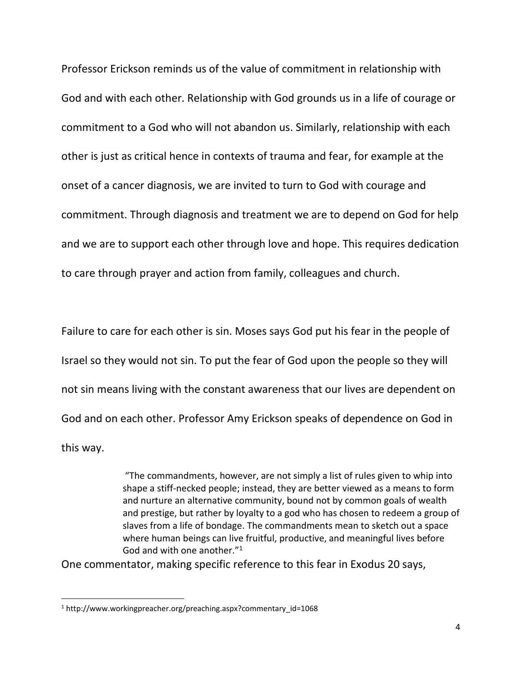Professor Erickson reminds us of the value of commitment in relationship with God and with each other. Relationship with God grounds us in a life of courage or commitment to a God who will not abandon us. Similarly, relationship with each other is just as critical hence in contexts of trauma and fear, for example at the onset of a cancer diagnosis, we are invited to turn to God with courage and commitment. Through diagnosis and treatment we are to depend on God for help and we are to support each other through love and hope. This requires dedication to care through prayer and action from family, colleagues and church.

Failure to care for each other is sin. Moses says God put his fear in the people of Israel so they would not sin. To put the fear of God upon the people so they will not sin means living with the constant awareness that our lives are dependent on God and on each other. Professor [Amy Erickson](http://www.workingpreacher.org/profile/default.aspx?uid=2-amy_erickson) speaks of dependence on God in this way.

> "The commandments, however, are not simply a list of rules given to whip into shape a stiff-necked people; instead, they are better viewed as a means to form and nurture an alternative community, bound not by common goals of wealth and prestige, but rather by loyalty to a god who has chosen to redeem a group of slaves from a life of bondage. The commandments mean to sketch out a space where human beings can live fruitful, productive, and meaningful lives before God and with one another."<sup>1</sup>

One commentator, making specific reference to this fear in Exodus 20 says,

<sup>1</sup> http://www.workingpreacher.org/preaching.aspx?commentary\_id=1068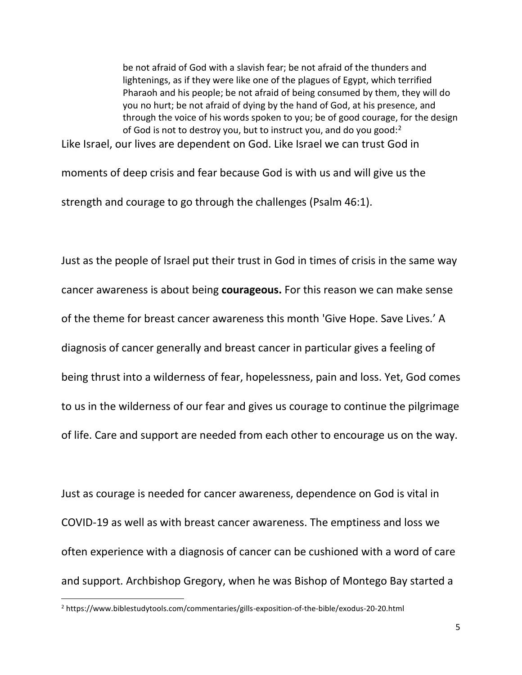be not afraid of God with a slavish fear; be not afraid of the thunders and lightenings, as if they were like one of the plagues of Egypt, which terrified Pharaoh and his people; be not afraid of being consumed by them, they will do you no hurt; be not afraid of dying by the hand of God, at his presence, and through the voice of his words spoken to you; be of good courage, for the design of God is not to destroy you, but to instruct you, and do you good: $2^2$ 

Like Israel, our lives are dependent on God. Like Israel we can trust God in

moments of deep crisis and fear because God is with us and will give us the strength and courage to go through the challenges (Psalm 46:1).

Just as the people of Israel put their trust in God in times of crisis in the same way cancer awareness is about being **courageous.** For this reason we can make sense of the theme for breast cancer awareness this month 'Give Hope. Save Lives.' A diagnosis of cancer generally and breast cancer in particular gives a feeling of being thrust into a wilderness of fear, hopelessness, pain and loss. Yet, God comes to us in the wilderness of our fear and gives us courage to continue the pilgrimage of life. Care and support are needed from each other to encourage us on the way.

Just as courage is needed for cancer awareness, dependence on God is vital in COVID-19 as well as with breast cancer awareness. The emptiness and loss we often experience with a diagnosis of cancer can be cushioned with a word of care and support. Archbishop Gregory, when he was Bishop of Montego Bay started a

<sup>2</sup> https://www.biblestudytools.com/commentaries/gills-exposition-of-the-bible/exodus-20-20.html